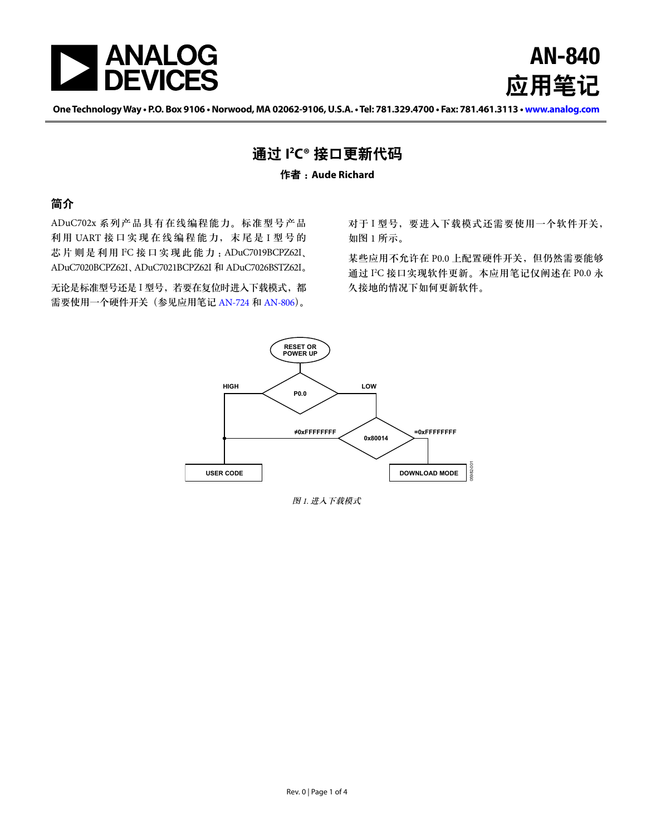

AN-840 应用笔记

**One Technology Way • P.O. Box 9106 • Norwood, MA 02062-9106, U.S.A. • Tel: 781.329.4700 • Fax: 781.461.3113 • [www.analog.co](http://www.analog.com/zh/index.html)m**

## 通过 **I 2 C®** 接口更新代码

#### 作者 :**Aude Richard**

## 简介

ADuC702x 系列产品具有在线编程能力。标准型号产品 利用 UART 接口实现在线编程能力, 末尾是 I 型号的 芯片则是利用 I<sup>2</sup>C 接口实现此能力: ADuC7019BCPZ62I、 ADuC7020BCPZ62I、ADuC7021BCPZ62I 和 ADuC7026BSTZ62I。

无论是标准型号还是 I 型号, 若要在复位时进入下载模式, 都 需要使用一个硬件开关(参见应用笔记 [AN-724](http://www.analog.com/an-724) 和 [AN-806](http://www.analog.com/an-806))。

对于 I 型号, 要进入下载模式还需要使用一个软件开关, 如[图](#page-0-0) 1 所示。

某些应用不允许在 P0.0 上配置硬件开关, 但仍然需要能够 通过 I 2 C 接口实现软件更新。本应用笔记仅阐述在 P0.0 永 久接地的情况下如何更新软件。



<span id="page-0-0"></span>图 1. 进入下载模式 *Figure 1. Entering Download Mode*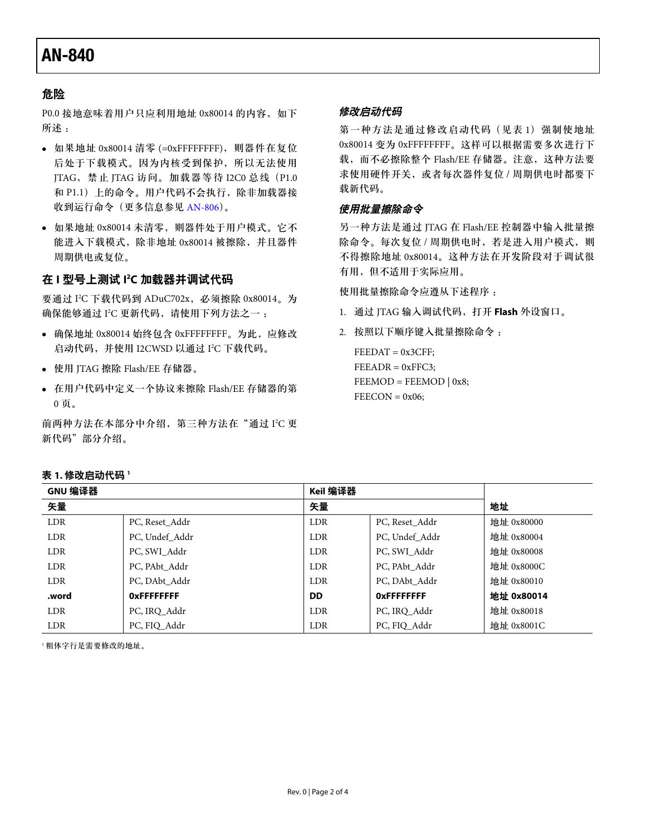# AN-840

## 危险

P0.0 接地意味着用户只应利用地址 0x80014 的内容, 如下 所述 :

- 如果地址 0x80014 清零 (=0xFFFFFFFF),则器件在复位 后处于下载模式。因为内核受到保护,所以无法使用 JTAG,禁止 JTAG 访问。加载器等待 I2C0 总线(P1.0 和 P1.1) 上的命令。用户代码不会执行, 除非加载器接 收到运行命令(更多信息参见 [AN-806](http://www.analog.com/an-806))。
- 如果地址 0x80014 未清零,则器件处于用户模式。它不 能进入下载模式,除非地址 0x80014 被擦除,并且器件 周期供电或复位。

### 在 **I** 型号上测试 **I 2 C** 加载器并调试代码

要通过 I 2 C 下载代码到 ADuC702x,必须擦除 0x80014。为 确保能够通过 I'C 更新代码,请使用下列方法之一 :

- 确保地址 0x80014 始终包含 0xFFFFFFFF。为此,应修改 启动代码,并使用 I2CWSD 以通过 I 2 C 下载代码。
- 使用 JTAG 擦除 Flash/EE 存储器。
- 在用户代码中定义一个协议来擦除 Flash/EE 存储器的第 0 页。

前两种方法在本部分中介绍,第三种方法在"[通过](#page-2-0) I<del>'</del>C 更 [新代码](#page-2-0)"部分介绍。

#### 修改启动代码

第一种方法是通过修改启动代码(见[表](#page-1-0)1)强制使地址 0x80014 变为 0xFFFFFFFF。这样可以根据需要多次进行下 载,而不必擦除整个 Flash/EE 存储器。注意,这种方法要 求使用硬件开关,或者每次器件复位 / 周期供电时都要下 载新代码。

#### 使用批量擦除命令

另一种方法是通过 JTAG 在 Flash/EE 控制器中输入批量擦 除命令。每次复位 / 周期供电时, 若是进入用户模式, 则 不得擦除地址 0x80014。这种方法在开发阶段对于调试很 有用,但不适用于实际应用。

使用批量擦除命令应遵从下述程序 :

- 1. 通过 JTAG 输入调试代码,打开 **Flash** 外设窗口。
- 2. 按照以下顺序键入批量擦除命令 :

 $FEEDAT = 0x3CFF;$  $FEEADR = 0xFFC3;$  $FEEMOD = FEEMOD | 0x8;$  $FEECON = 0x06;$ 

| GNU 编译器    |                    | Keil 编译器   |                    |            |
|------------|--------------------|------------|--------------------|------------|
| 矢量         |                    | 矢量         |                    | 地址         |
| <b>LDR</b> | PC, Reset Addr     | <b>LDR</b> | PC, Reset_Addr     | 地址 0x80000 |
| <b>LDR</b> | PC, Undef Addr     | <b>LDR</b> | PC, Undef Addr     | 地址 0x80004 |
| <b>LDR</b> | PC, SWI Addr       | <b>LDR</b> | PC, SWI Addr       | 地址 0x80008 |
| <b>LDR</b> | PC, PAbt Addr      | <b>LDR</b> | PC, PAbt Addr      | 地址 0x8000C |
| <b>LDR</b> | PC, DAbt Addr      | <b>LDR</b> | PC, DAbt Addr      | 地址 0x80010 |
| .word      | <b>OXFFFFFFFFF</b> | <b>DD</b>  | <b>OXFFFFFFFFF</b> | 地址 0x80014 |
| <b>LDR</b> | PC, IRO Addr       | <b>LDR</b> | PC, IRO Addr       | 地址 0x80018 |
| <b>LDR</b> | PC, FIQ Addr       | <b>LDR</b> | PC, FIO Addr       | 地址 0x8001C |

[1](#page-1-1) 粗体字行是需要修改的地址。

#### <span id="page-1-1"></span><span id="page-1-0"></span>表 **1.** 修改启动代码 **<sup>1</sup>**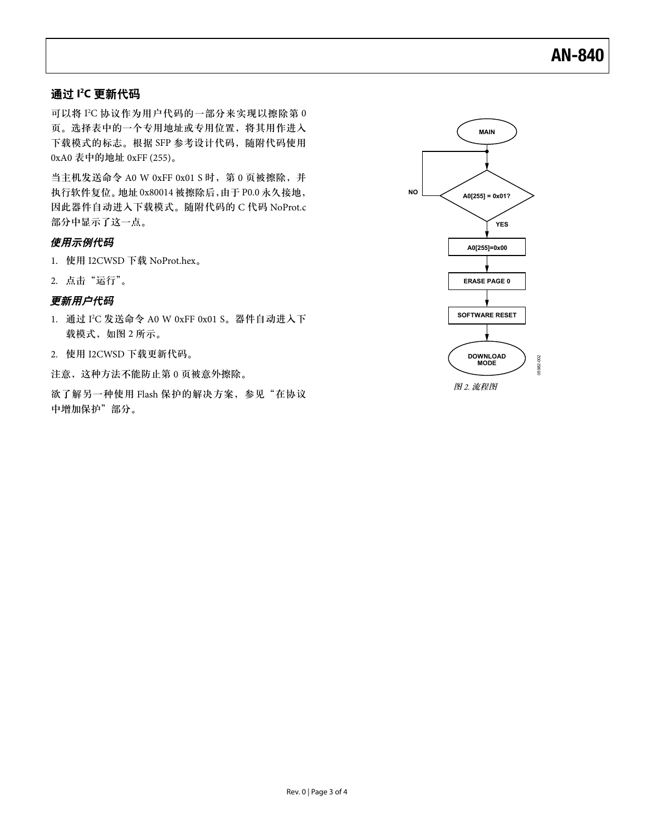## <span id="page-2-0"></span>通过 **I 2 C** 更新代码

可以将 I 2 C 协议作为用户代码的一部分来实现以擦除第 0 页。选择表中的一个专用地址或专用位置,将其用作进入 下载模式的标志。根据 SFP 参考设计代码,随附代码使用 0xA0 表中的地址 0xFF (255)。

当主机发送命令 A0 W 0xFF 0x01 S 时, 第 0 页被擦除, 并 执行软件复位。地址 0x80014 被擦除后,由于 P0.0 永久接地, 因此器件自动进入下载模式。随附代码的 C 代码 NoProt.c 部分中显示了这一点。

#### 使用示例代码

- 1. 使用 I2CWSD 下载 NoProt.hex。
- 2. 点击"运行"。

### 更新用户代码

- 1. 通过 I 2 C 发送命令 A0 W 0xFF 0x01 S。器件自动进入下 载模式,如[图](#page-2-1) 2 所示。
- 2. 使用 I2CWSD 下载更新代码。

注意,这种方法不能防止第 0 页被意外擦除。

欲了解另一种使用 Flash 保护的解决方案,参见"[在协议](#page-3-0) [中增加保护"](#page-3-0)部分。



<span id="page-2-1"></span>